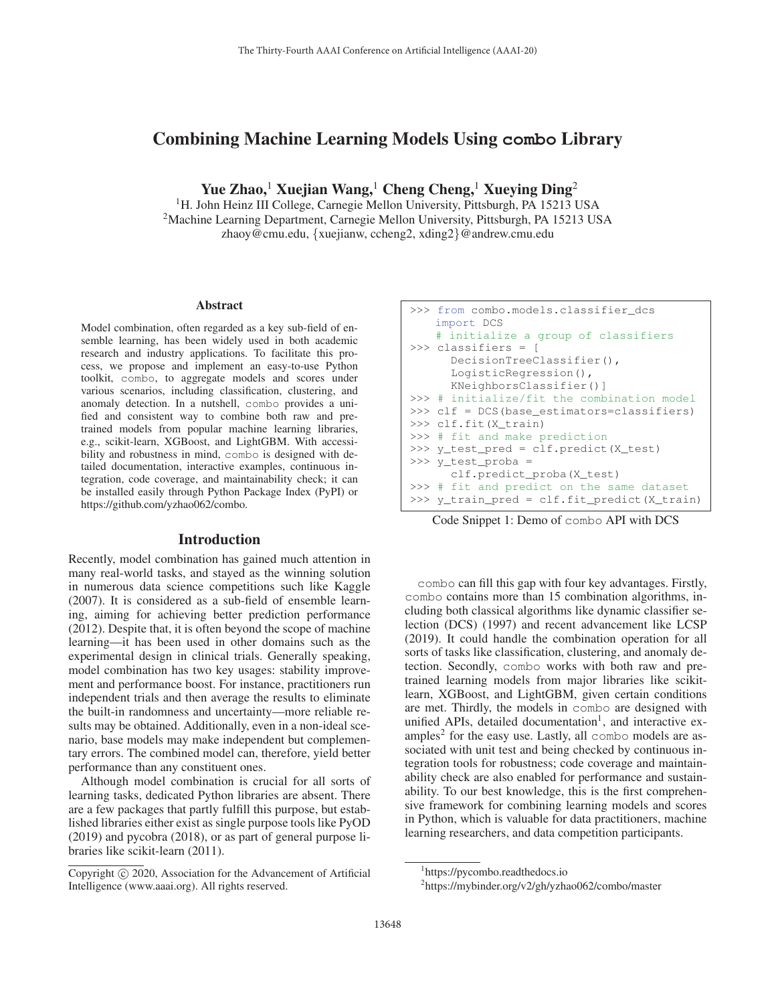# Combining Machine Learning Models Using **combo** Library

Yue Zhao,<sup>1</sup> Xuejian Wang,<sup>1</sup> Cheng Cheng,<sup>1</sup> Xueying Ding<sup>2</sup>

<sup>1</sup>H. John Heinz III College, Carnegie Mellon University, Pittsburgh, PA 15213 USA 2Machine Learning Department, Carnegie Mellon University, Pittsburgh, PA 15213 USA zhaoy@cmu.edu, {xuejianw, ccheng2, xding2}@andrew.cmu.edu

#### Abstract

Model combination, often regarded as a key sub-field of ensemble learning, has been widely used in both academic research and industry applications. To facilitate this process, we propose and implement an easy-to-use Python toolkit, combo, to aggregate models and scores under various scenarios, including classification, clustering, and anomaly detection. In a nutshell, combo provides a unified and consistent way to combine both raw and pretrained models from popular machine learning libraries, e.g., scikit-learn, XGBoost, and LightGBM. With accessibility and robustness in mind, combo is designed with detailed documentation, interactive examples, continuous integration, code coverage, and maintainability check; it can be installed easily through Python Package Index (PyPI) or https://github.com/yzhao062/combo.

### **Introduction**

Recently, model combination has gained much attention in many real-world tasks, and stayed as the winning solution in numerous data science competitions such like Kaggle (2007). It is considered as a sub-field of ensemble learning, aiming for achieving better prediction performance (2012). Despite that, it is often beyond the scope of machine learning—it has been used in other domains such as the experimental design in clinical trials. Generally speaking, model combination has two key usages: stability improvement and performance boost. For instance, practitioners run independent trials and then average the results to eliminate the built-in randomness and uncertainty—more reliable results may be obtained. Additionally, even in a non-ideal scenario, base models may make independent but complementary errors. The combined model can, therefore, yield better performance than any constituent ones.

Although model combination is crucial for all sorts of learning tasks, dedicated Python libraries are absent. There are a few packages that partly fulfill this purpose, but established libraries either exist as single purpose tools like PyOD (2019) and pycobra (2018), or as part of general purpose libraries like scikit-learn (2011).

```
>>> from combo.models.classifier_dcs
   import DCS
   # initialize a group of classifiers
>>> classifiers = [
      DecisionTreeClassifier(),
      LogisticRegression(),
      KNeighborsClassifier()]
>>> # initialize/fit the combination model
>>> clf = DCS(base_estimators=classifiers)
>>> clf.fit(X_train)
>>> # fit and make prediction
>>> y_test_pred = clf.predict(X_test)
>>> y_test_proba =
      clf.predict_proba(X_test)
>>> # fit and predict on the same dataset
>>> y_train_pred = clf.fit_predict(X_train)
```
Code Snippet 1: Demo of combo API with DCS

combo can fill this gap with four key advantages. Firstly, combo contains more than 15 combination algorithms, including both classical algorithms like dynamic classifier selection (DCS) (1997) and recent advancement like LCSP (2019). It could handle the combination operation for all sorts of tasks like classification, clustering, and anomaly detection. Secondly, combo works with both raw and pretrained learning models from major libraries like scikitlearn, XGBoost, and LightGBM, given certain conditions are met. Thirdly, the models in combo are designed with unified APIs, detailed documentation<sup>1</sup>, and interactive examples<sup>2</sup> for the easy use. Lastly, all combo models are associated with unit test and being checked by continuous integration tools for robustness; code coverage and maintainability check are also enabled for performance and sustainability. To our best knowledge, this is the first comprehensive framework for combining learning models and scores in Python, which is valuable for data practitioners, machine learning researchers, and data competition participants.

Copyright  $\odot$  2020, Association for the Advancement of Artificial Intelligence (www.aaai.org). All rights reserved.

<sup>1</sup> https://pycombo.readthedocs.io

<sup>2</sup> https://mybinder.org/v2/gh/yzhao062/combo/master